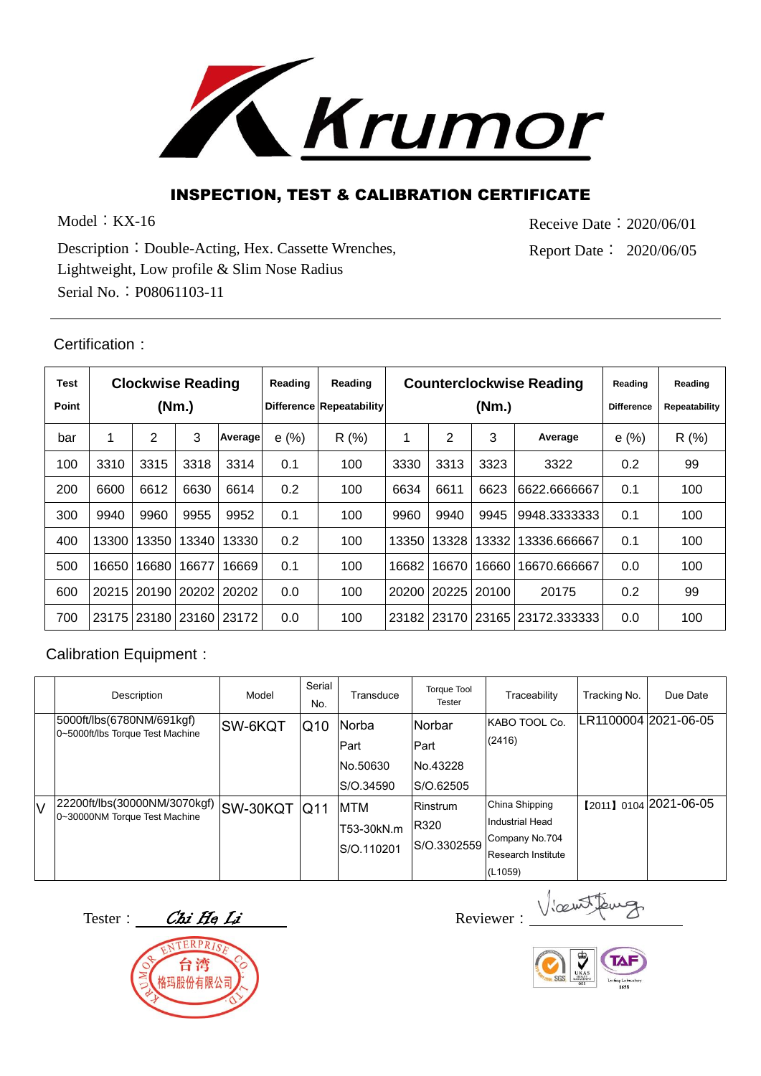

## INSPECTION, TEST & CALIBRATION CERTIFICATE

Model: KX-16

Receive Date︰2020/06/01 Report Date︰ 2020/06/05

Description︰Double-Acting, Hex. Cassette Wrenches, Lightweight, Low profile & Slim Nose Radius Serial No.︰P08061103-11

## Certification:

| Test<br>Point | <b>Clockwise Reading</b><br>(Nm.) |       |       |             | Reading | Reading<br>Difference Repeatability |             |       | <b>Counterclockwise Reading</b><br>(Nm.) | Reading<br><b>Difference</b> | Reading<br><b>Repeatability</b> |      |
|---------------|-----------------------------------|-------|-------|-------------|---------|-------------------------------------|-------------|-------|------------------------------------------|------------------------------|---------------------------------|------|
| bar           | 1                                 | 2     | 3     | Average     | e(%)    | R(%)                                | 1           | 2     | 3                                        | Average                      | e(%)                            | R(%) |
| 100           | 3310                              | 3315  | 3318  | 3314        | 0.1     | 100                                 | 3330        | 3313  | 3323                                     | 3322                         | 0.2                             | 99   |
| 200           | 6600                              | 6612  | 6630  | 6614        | 0.2     | 100                                 | 6634        | 6611  | 6623                                     | 6622.6666667                 | 0.1                             | 100  |
| 300           | 9940                              | 9960  | 9955  | 9952        | 0.1     | 100                                 | 9960        | 9940  | 9945                                     | 9948.33333333                | 0.1                             | 100  |
| 400           | 13300                             | 13350 | 13340 | 13330       | 0.2     | 100                                 | 13350       | 13328 | 13332                                    | 13336.666667                 | 0.1                             | 100  |
| 500           | 16650                             | 16680 | 16677 | 16669       | 0.1     | 100                                 | 16682       | 16670 | 16660                                    | 16670.666667                 | 0.0                             | 100  |
| 600           | 20215                             | 20190 |       | 20202120202 | 0.0     | 100                                 | 20200       | 20225 | 20100                                    | 20175                        | 0.2                             | 99   |
| 700           | 23175                             | 23180 |       | 23160 23172 | 0.0     | 100                                 | 23182 23170 |       |                                          | 23165 23172.333333           | 0.0                             | 100  |

## Calibration Equipment:

|     | Description                                                   | Model           | Serial<br>No.              | Transduce                       | <b>Torque Tool</b><br><b>Tester</b>    | Traceability                                                                         | Tracking No. | Due Date              |
|-----|---------------------------------------------------------------|-----------------|----------------------------|---------------------------------|----------------------------------------|--------------------------------------------------------------------------------------|--------------|-----------------------|
|     | 5000ft/lbs(6780NM/691kgf)<br>0~5000ft/lbs Torque Test Machine | ISW-6KQT        | $\overline{\mathsf{Q}}$ 10 | Norba<br>Part                   | Norbar<br>Part                         | KABO TOOL Co.<br>(2416)                                                              |              | LR1100004 2021-06-05  |
|     |                                                               |                 |                            | No.50630<br>S/O.34590           | No.43228<br>S/O.62505                  |                                                                                      |              |                       |
| IV. | 22200ft/lbs(30000NM/3070kgf)<br>0~30000NM Torque Test Machine | <b>SW-30KQT</b> | $\overline{Q11}$           | MTM<br>T53-30kN.m<br>S/O.110201 | <b>Rinstrum</b><br>R320<br>S/O.3302559 | China Shipping<br>Industrial Head<br>Company No.704<br>Research Institute<br>(L1059) |              | 【2011】0104 2021-06-05 |

Tester: Chi He Li Reviewer:



Vicent